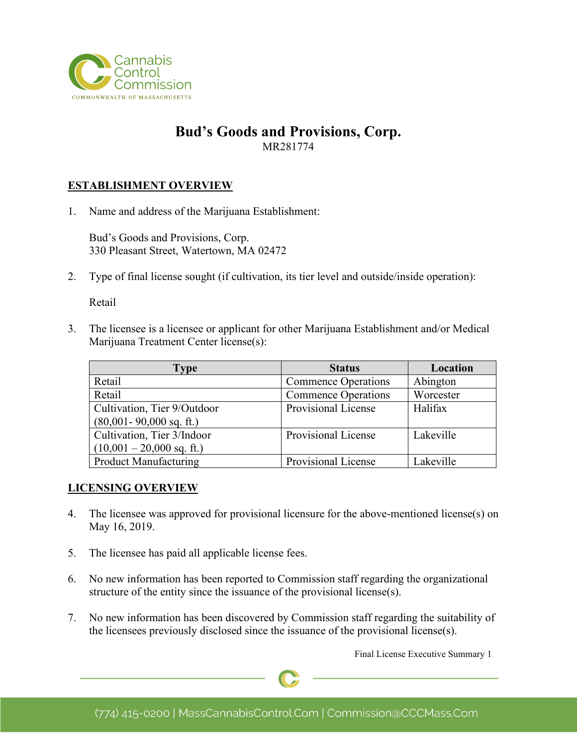

## **Bud's Goods and Provisions, Corp.** MR281774

### **ESTABLISHMENT OVERVIEW**

1. Name and address of the Marijuana Establishment:

Bud's Goods and Provisions, Corp. 330 Pleasant Street, Watertown, MA 02472

2. Type of final license sought (if cultivation, its tier level and outside/inside operation):

Retail

3. The licensee is a licensee or applicant for other Marijuana Establishment and/or Medical Marijuana Treatment Center license(s):

| Type                         | <b>Status</b>              | Location  |
|------------------------------|----------------------------|-----------|
| Retail                       | <b>Commence Operations</b> | Abington  |
| Retail                       | <b>Commence Operations</b> | Worcester |
| Cultivation, Tier 9/Outdoor  | Provisional License        | Halifax   |
| $(80,001 - 90,000$ sq. ft.)  |                            |           |
| Cultivation, Tier 3/Indoor   | Provisional License        | Lakeville |
| $(10,001 - 20,000$ sq. ft.)  |                            |           |
| <b>Product Manufacturing</b> | Provisional License        | Lakeville |

#### **LICENSING OVERVIEW**

- 4. The licensee was approved for provisional licensure for the above-mentioned license(s) on May 16, 2019.
- 5. The licensee has paid all applicable license fees.
- 6. No new information has been reported to Commission staff regarding the organizational structure of the entity since the issuance of the provisional license(s).
- 7. No new information has been discovered by Commission staff regarding the suitability of the licensees previously disclosed since the issuance of the provisional license(s).

Final License Executive Summary 1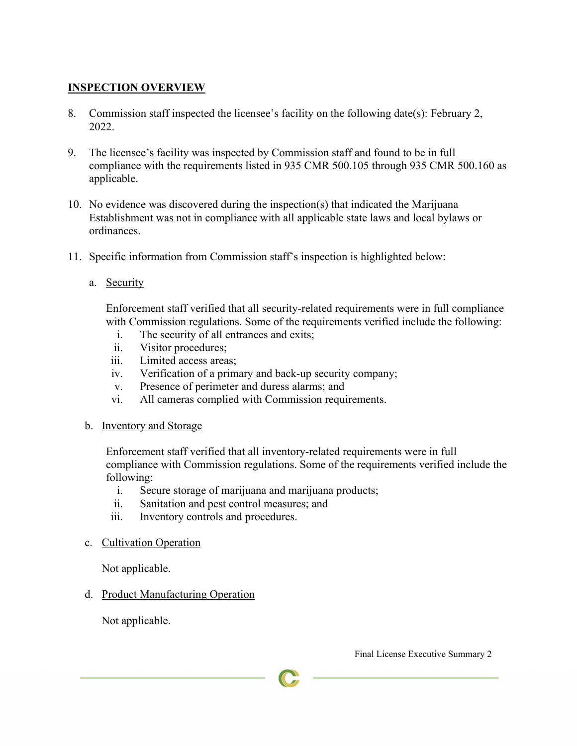# **INSPECTION OVERVIEW**

- 8. Commission staff inspected the licensee's facility on the following date(s): February 2, 2022.
- 9. The licensee's facility was inspected by Commission staff and found to be in full compliance with the requirements listed in 935 CMR 500.105 through 935 CMR 500.160 as applicable.
- 10. No evidence was discovered during the inspection(s) that indicated the Marijuana Establishment was not in compliance with all applicable state laws and local bylaws or ordinances.
- 11. Specific information from Commission staff's inspection is highlighted below:
	- a. Security

Enforcement staff verified that all security-related requirements were in full compliance with Commission regulations. Some of the requirements verified include the following:

- i. The security of all entrances and exits;
- ii. Visitor procedures;
- iii. Limited access areas;
- iv. Verification of a primary and back-up security company;
- v. Presence of perimeter and duress alarms; and
- vi. All cameras complied with Commission requirements.
- b. Inventory and Storage

Enforcement staff verified that all inventory-related requirements were in full compliance with Commission regulations. Some of the requirements verified include the following:

- i. Secure storage of marijuana and marijuana products;
- ii. Sanitation and pest control measures; and
- iii. Inventory controls and procedures.
- c. Cultivation Operation

Not applicable.

d. Product Manufacturing Operation

Not applicable.

Final License Executive Summary 2